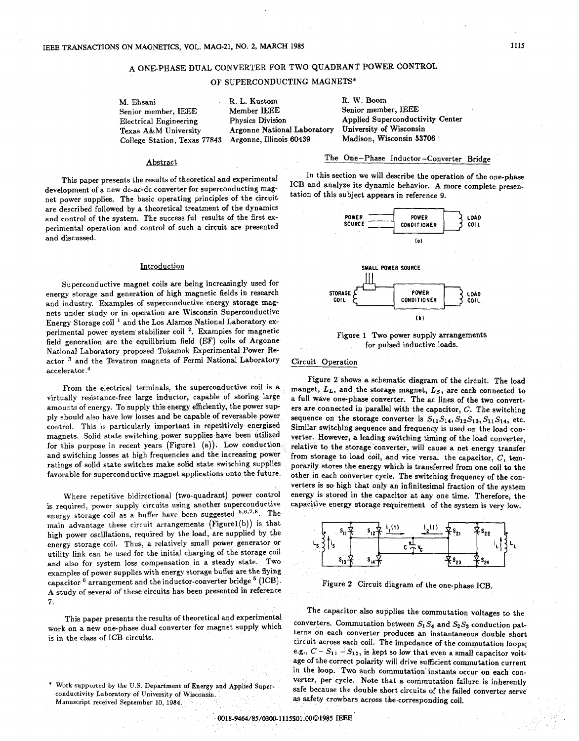# A ONEPHASE DUAL CONVERTER FOR TWO QUADRANT POWER CONTROL

OF SUPERCONDUCTING MAGNETS\*

Senior member, IEEE Member IEEE<br>Electrical Engineering Physics Division **College Station, Texas 77843** Argonne, Illinois 60439

M. Ehsani R. L. Kustom R. W. Boom<br>
R. W. Boom<br>
Senior member, IEEE Member IEEE Senior member, IEEE Argonne National Laboratory University of Wisconsin<br>Argonne, Illinois 60439 Madison, Wisconsin 53706

Electrical Engineering Physics Division Applied Superconductivity Center<br>Texas A&M University Argonne National Laboratory University of Wisconsin

### Abstract

This paper presents the results of theoretical and experimental development of a new dc-ac-dc converter for superconducting magnet power supplies. The basic operating principles of the circuit are described followed by a theoretical treatment of the dynamics and control of the system. The success ful results of the first experimental operation and control of such a circuit are presented and discussed.

#### Introduction

Superconductive magnet coils are being increasingly used for energy storage and generation of high magnetic fields in research and industry. Examples of superconductive energy storage magnets under study or in operation are Wisconsin Superconductive Energy Storage coil<sup>1</sup> and the Los Alamos National Laboratory experimental power system' stabilizer coil **2.** Examples for magnetic field generation are the equilibrium field (EF) coils of Argonne National Laboratory proposed Tokamok Experimental Power Reactor <sup>3</sup> and the Tevatron magnets of Fermi National Laboratory  $accelerator.<sup>4</sup>$ 

From the electrical terminals, the superconductive coil is a virtually resistance-free large inductor, capable of storing large amounts of energy. To supply this energy efficiently, the power supply should also have low losses and be capable of reversable power control. This is particularly important in repetitively energized magnets. Solid state switching power supplies have been utilized for this purpose in recent years (Figure1 (a)). Low conduction and switching losses at high frequencies and the increasing power ratings of solid state switches make solid state switching supplies favorable for superconductive magnet applications onto the future.

Where repetitive bidirectional (two-quadrant) power control is required, power supply circuits using another superconductive energy storage coil as a buffer have been suggested  $5,6,7.8$ . The main advantage these circuit arrangements (Figurel(b)) is that high power oscillations, required by the load, are supplied by the energy storage coil. Thus, a relatively small power generator or utility link can be used for the initial charging of the storage coil and also for system loss compensation in a steady state. TWO examples of power supplies with energy storage buffer are the flying capacitor  $^6$  arrangement and the inductor-converter bridge  $^5$  (ICB). **A** study of several of these circuits has been presented in reference **7.** 

This paper presents the results of theoretical and experimental work on a new one-phase dual converter for magnet supply which is in the class of ICB circuits.

# The One-Phase Inductor-Converter Bridge

In this section we will describe the operation of the one-phase ICB and analyze its dynamic behavior. A more complete presentation of this subject appears in reference **9.** 



Figure **1** Two power supply arrangements for pulsed inductive loads.

## Circuit Operation

Figure **2** shows a schematic diagram of the circuit. The load manget,  $L_L$ , and the storage magnet,  $L_S$ , are each connected to a full wave one-phase converter. The ac lines of the two converters are connected in parallel with the capacitor, *C.* The switching sequence on the storage converter is  $S_{11}S_{14}$ ,  $S_{12}S_{13}$ ,  $S_{11}S_{14}$ , etc. Similar switching sequence and frequency is used on the load converter. However, a leading switching timing of the load converter, relative to the storage'converter, will cause a net energy transfer from storage to load coil, and vice versa. the capacitor,  $C$ , temporarily stores the energy which is transferred from one coil to the other in each converter cycle. The switching frequency of the converters is **so** high that only an infinitesimal fraction of the system energy is stored in the capacitor at any one time. Therefore, the capacitive energy storage requirement of the system is very low.



Figure 2 Circuit diagram of the one-phase ICB.

The capacitor also supplies the commutation voltages to the converters. Commutation between  $S_1S_4$  and  $S_2S_3$  conduction patterns on each converter produces an instantaneous double short circuit. across each coil. The impedance of the commutation loops; e.g.,  $C - S_{11} - S_{12}$ , is kept so low that even a small capacitor voltage of the correct polarity will drive sufficient commutation current in the loop. Two such commutation instants occur on each converter, per cycle. Note that a commutation failure is inherently safe because the double short circuits of the failed converter serve as safety crowbars across the corresponding coil.

Work supported by the U.S. Department of Energy and Applied Superconductivity Laboratory of University of Wisconsin. **Manuscript** received September 10, 1984.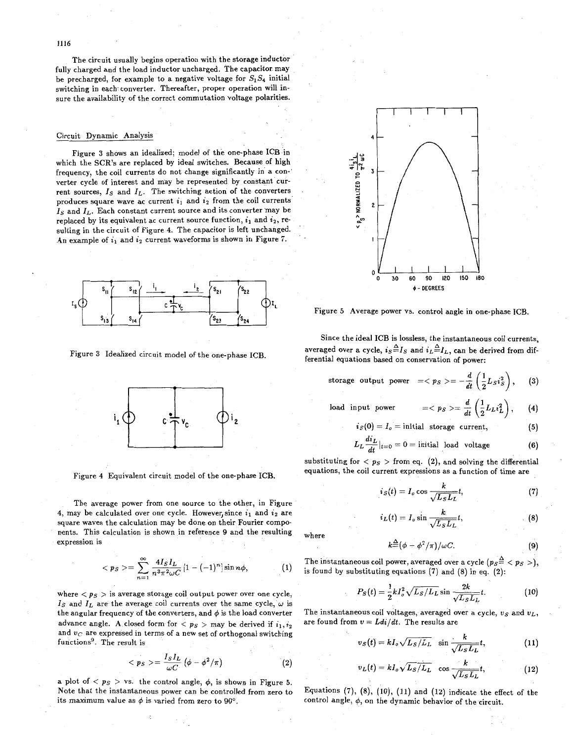The circuit usually begins operation with the storage inductor fully charged and the load inductor uncharged. The capacitor. may be precharged, for example to a negative voltage for  $S_1S_4$  initial switching in each. converter, Thereafter, proper operation will insure the availability of the correct commutation voltage polarities.

#### Circuit Dynamic Analysis

Figure **3** shows an idealized; model of the one-phase ICB .in which the SCR's are replaced by ideal switches. Because of high frequency, the coil currents do not change significantly in a con-' verter cycle of interest and may be represented by constant current sources,  $I_S$  and  $I_L$ . The switching action of the converters produces square wave ac current  $i_1$  and  $i_2$  from the coil currents. *IS* and *IL.* Each constant current source and its converter may be replaced by its equivalent ac current source function,  $i_1$  and  $i_2$ , resulting in the circuit of Figure **4.** The capacitor is left unchanged. An example of  $i_1$  and  $i_2$  current waveforms is shown in Figure 7.



Figure **3** Idealized circuit model of the one-phase ICB.



Figure **4** Equivalent circuit model of the one-phase ICB.

The average power from one source to the other, in Figure **4, may be calculated over one cycle. However, since**  $i_1$  **and**  $i_2$  **are** square waves the calculation may be done on their Fourier components. This calculation is shown in reference 9 and the resulting expression is

$$
\langle p_S \rangle = \sum_{n=1}^{\infty} \frac{4I_S I_L}{n^3 \pi^2 \omega C} \left[1 - (-1)^n\right] \sin n\phi, \tag{1}
$$

where  $\langle p_S \rangle$  is average storage coil output power over one cycle, *Is* and  $I_L$  are the average coil currents over the same cycle,  $\omega$  is the angular frequency of the converters, and  $\phi$  is the load converter advance angle. A closed form for  $\langle p_S \rangle$  may be derived if  $i_1, i_2$ and *uc* are expressed in terms of a new set of orthogonal switching functions9. The result is

$$
\langle p_S \rangle = \frac{I_S I_L}{\omega C} \left( \phi - \phi^2 / \pi \right) \tag{2}
$$

a plot of  $\langle p_S \rangle$  vs. the control angle,  $\phi$ , is shown in Figure 5. Note that the instantaneous power can be controlled from zero to its maximum value as  $\phi$  is varied from zero to 90°.



Figure *5* Average power vs. control angle in one-phase ICB.

Since the ideal ICB is lossless, the instantaneous coil currents, averaged over a cycle,  $i_S \triangleq I_S$  and  $i_L \triangleq I_L$ , can be derived from differential equations based on conservation of power:

storage output power 
$$
==-\frac{d}{dt}\left(\frac{1}{2}L_S i_S^2\right)
$$
, (3)

load input power 
$$
==\frac{d}{dt}\left(\frac{1}{2}L_L i_L^2\right)
$$
, (4)

$$
i_S(0) = I_o = initial\,\,\text{storage current},\tag{5}
$$

$$
i_S(0) = I_o = \text{initial storage current}, \qquad (5)
$$
  

$$
L_L \frac{di_L}{dt}|_{t=0} = 0 = \text{initial load voltage} \qquad (6)
$$

substituting for  $\langle p_S \rangle$  from eq. (2), and solving the differential equations, the coil current expressions as a function of time are

$$
i_S(t) = I_o \cos \frac{k}{\sqrt{L_S L_L}} t,\tag{7}
$$

$$
i_L(t) = I_o \sin \frac{k}{\sqrt{L_S L_L}} t,
$$
\n(8)

where

$$
k \stackrel{\Delta}{=} (\phi - \phi^2/\pi)/\omega C.
$$
 (9)

The instantaneous coil power, averaged over a cycle  $(p_S \triangleq < p_S >)$ , is found by substituting equations **(7)** and (8) in eq. (2):

bstituting equations (7) and (8) in eq. (2):  
\n
$$
P_S(t) = \frac{1}{2} k I_o^2 \sqrt{L_S/L_L} \sin \frac{2k}{\sqrt{L_S L_L}} t.
$$
\n(10)  
\neous coil voltages, averaged over a cycle,  $v_S$  and  $v_L$   
\n $v = Ldi/dt$ . The results are  
\n
$$
v_S(t) = kI_o \sqrt{L_S/L_L} \sin \frac{k}{\sqrt{L_S L_L}} t,
$$
\n(11)

The instantaneous coil voltages, averaged over a cycle, *us* and *VL,*  are found from  $v = Ldi/dt$ . The results are

$$
v_S(t) = kI_o \sqrt{L_S/L_L} \quad \sin \frac{k}{\sqrt{L_S L_L}}t,
$$
 (11)

$$
v_L(t) = kI_o \sqrt{L_S/L_L} \cos \frac{k}{\sqrt{L_S L_L}}t,
$$
 (12)

Equations  $(7)$ ,  $(8)$ ,  $(10)$ ,  $(11)$  and  $(12)$  indicate the effect of the control angle,  $\phi$ , on the dynamic behavior of the circuit.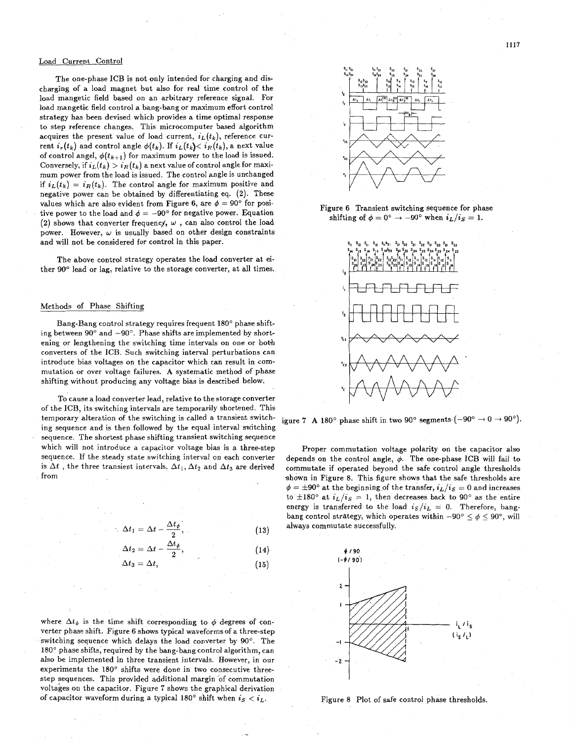#### Load Current Control

The one-phase ICB is not only intended for charging and discharging of a load magnet but also for real time control of the load mangetic field based on an arbitrary reference signal. For load mangetic field control a bang-bang or maximum effort control strategy has been devised which provides a time optimal response to step reference changes. This microcomputer based algorithm acquires the present value of load current,  $i_L(t_k)$ , reference current  $i_r(t_k)$  and control angle  $\phi(t_k)$ . If  $i_L(t_k) < i_R(t_k)$ , a next value of control angel,  $\phi(t_{k+1})$  for maximum power to the load is issued. Conversely, if  $i_L(t_k) > i_R(t_k)$  a next value of control angle for maximum power from the load is issued. The control angle is unchanged if  $i_L(t_k) = i_R(t_k)$ . The control angle for maximum positive and negative power can be obtained by differentiating eq. (2). These values which are also evident from Figure 6, are  $\phi = 90^{\circ}$  for positive power to the load and  $\phi = -90^{\circ}$  for negative power. Equation (2) shows that converter frequency,  $\omega$ , can also control the load power. However,  $\omega$  is usually based on other design constraints and will not be considered for control in this paper.

The above control strategy operates the load converter at either **90"** lead or lag, relative to the storage converter, at all times.

#### Methods of Phase Shifting

Bang-Bang control strategy requires frequent **180'** phase shifting between  $90^{\circ}$  and  $-90^{\circ}$ . Phase shifts are implemented by shortening or lengthening the switching time intervals on one or both converters of the ICB. Such switching interval perturbations can introduce bias voltages on the capacitor which can result in commutation or over voltage failures. **A** systematic method of phase shifting without producing any voltage bias is described below.

To cause a load converter lead, relative to the storage converter of the ICB, its switching intervals are temporarily shortened. This temporary alteration of the switching is called a transient switching sequence and is then followed by the equal interval switching sequence. The shortest phase shifting transient switching sequence which will not introduce **a** capacitor voltage bias is a three-step sequence. If the steady state switching interval on each converter is  $\Delta t$ , the three transient intervals,  $\Delta t_1$ ,  $\Delta t_2$  and  $\Delta t_3$  are derived from

$$
\Delta t_1 = \Delta t - \frac{\Delta t_{\phi}}{2}, \qquad (13)
$$

$$
\Delta t_2 = \Delta t - \frac{\Delta t_{\phi}}{2}, \qquad (14)
$$

$$
\Delta t_3 = \Delta t, \tag{15}
$$

where  $\Delta t_{\phi}$  is the time shift corresponding to  $\phi$  degrees of converter phase shift. Figure 6 shows typical waveforms of a three-step switching sequence which delays the load converter by 90°. The 180' phase shifts, required by the bang-bang control algorithm, can also be implemented in three transient intervals. However, in our experiments the 180° shifts were done in two consecutive threestep sequences. This provided additional margin 'of commutation voltages on the capacitor. Figure *7* shows the graphical derivation of capacitor waveform during a typical  $180^\circ$  shift when  $i_S < i_L$ .



Figure 6 Transient switching sequence for phase shifting of  $\phi = 0^{\circ} \rightarrow -90^{\circ}$  when  $i_L/i_S = 1$ .



igure 7 A 180° phase shift in two 90° segments.  $(-90^{\circ} \rightarrow 0 \rightarrow 90^{\circ})$ .

Proper commutation voltage polarity on the capacitor also depends on the control angle,  $\phi$ . The one-phase ICB will fail to commutate if operated beyond the safe control angle thresholds shown in Figure 8. This figure shows that the safe thresholds are  $\phi = \pm 90^{\circ}$  at the beginning of the transfer,  $i_L/i_S = 0$  and increases to  $\pm 180^\circ$  at  $i_L/i_S = 1$ , then decreases back to 90° as the entire energy is transferred to the load  $i_S/i_L = 0$ . Therefore, bangbang control strategy, which operates within  $-90^{\circ} \le \phi \le 90^{\circ}$ , will always commutate successfully.